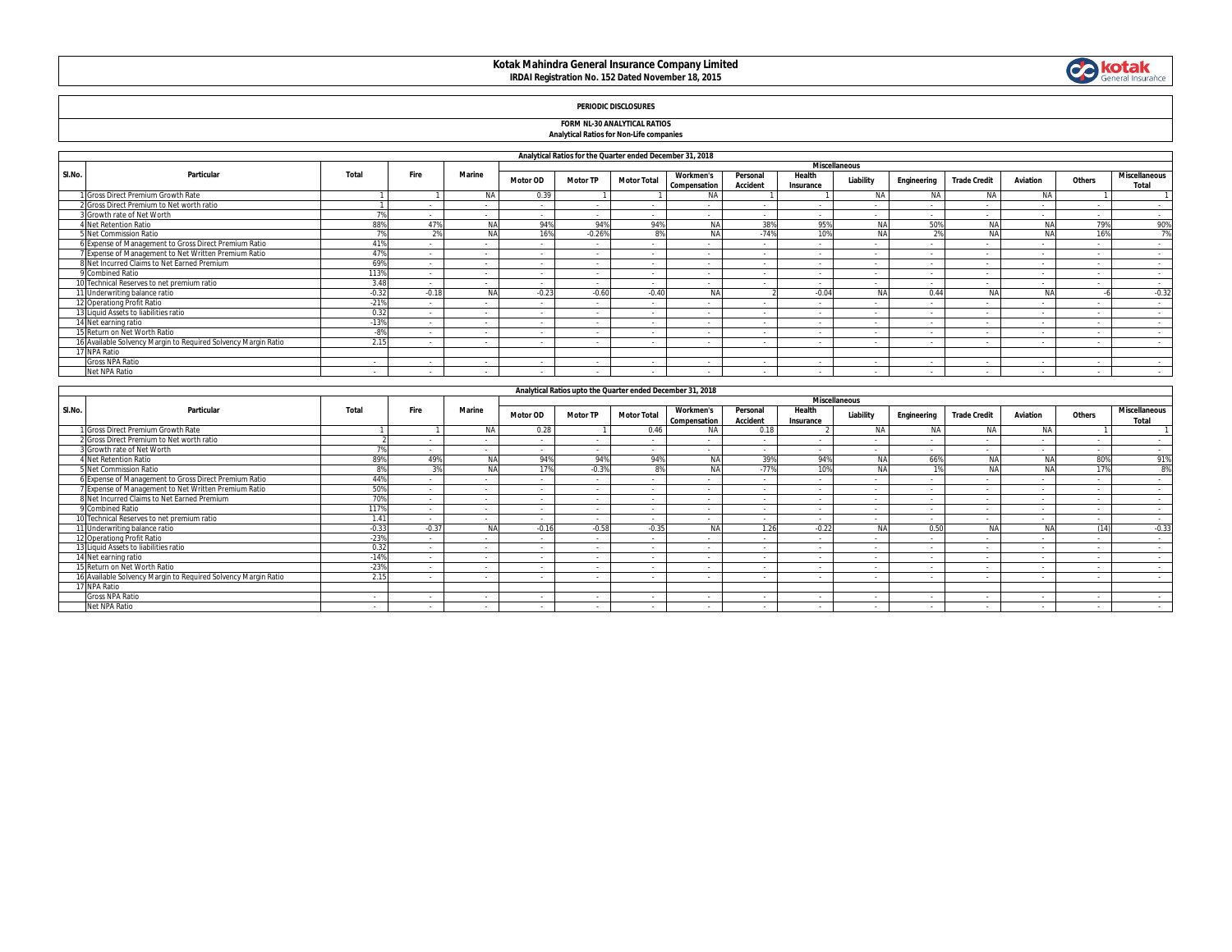# **Kotak Mahindra General Insurance Company Limited IRDAI Registration No. 152 Dated November 18, 2015**



## **PERIODIC DISCLOSURES**

#### **FORM NL-30 ANALYTICAL RATIOS Analytical Ratios for Non-Life companies**

|        | Analytical Ratios for the Quarter ended December 31, 2018      |               |        |           |                 |                          |                    |                                  |                             |                          |           |                          |                     |           |                          |                               |
|--------|----------------------------------------------------------------|---------------|--------|-----------|-----------------|--------------------------|--------------------|----------------------------------|-----------------------------|--------------------------|-----------|--------------------------|---------------------|-----------|--------------------------|-------------------------------|
|        |                                                                |               |        |           |                 | <b>Miscellaneous</b>     |                    |                                  |                             |                          |           |                          |                     |           |                          |                               |
| SI.No. | Particular                                                     | Total         | Fire   | Marine    | <b>Motor OD</b> | <b>Motor TP</b>          | <b>Motor Total</b> | <b>Workmen's</b><br>Compensation | Personal<br><b>Accident</b> | Health<br>Insurance      | Liability | Engineering              | <b>Trade Credit</b> | Aviation  | Others                   | <b>Miscellaneous</b><br>Total |
|        | Gross Direct Premium Growth Rate                               |               |        | <b>NA</b> | 0.39            |                          |                    | <b>NA</b>                        |                             |                          | <b>NA</b> | <b>NA</b>                | <b>NA</b>           | <b>NA</b> |                          |                               |
|        | Gross Direct Premium to Net worth ratio                        |               |        |           | $\sim$          | $\sim$                   |                    | $\overline{\phantom{a}}$         |                             |                          |           |                          | $\sim$              | $\sim$    |                          |                               |
|        | 3 Growth rate of Net Worth                                     | $\mathcal{D}$ |        |           |                 | $\sim$                   |                    | $\sim$                           |                             |                          |           |                          |                     |           |                          | $\sim$                        |
|        | 4 Net Retention Ratio                                          | 88%           |        | N.        | 94%             | 94%                      | 94%                | <b>NA</b>                        | 38%                         | 95%                      | NAI       | 50%                      | <b>NA</b>           | NA        | 79%                      | 90%                           |
|        | 5 Net Commission Ratio                                         | $\mathcal{D}$ |        |           | 16%             | $-0.26%$                 | 8%                 | <b>NA</b>                        | $-74%$                      | 10%                      |           | 20                       |                     | ALA       | 16%                      | 7%                            |
|        | 6 Expense of Management to Gross Direct Premium Ratio          | 41%           |        |           | $\sim$          | $\sim$                   | $\sim$             | $\sim$                           | $\sim$                      | $\sim$                   |           |                          | $\sim$              | $\sim$    | $\sim$                   | $\sim$                        |
|        | 7 Expense of Management to Net Written Premium Ratio           | 479           | $\sim$ | $\sim$    | $\sim$          | $\sim$                   | $\sim$             | $\sim$                           | $\sim$                      | $\sim$                   |           | $\overline{\phantom{a}}$ | $\sim$              | $\sim$    | $\overline{\phantom{a}}$ | $\sim$                        |
|        | 8 Net Incurred Claims to Net Earned Premium                    | 69%           |        |           | - 1             | $\overline{\phantom{a}}$ |                    |                                  |                             |                          |           |                          |                     |           |                          |                               |
|        | <b>Combined Ratio</b>                                          | 113%          |        |           | $\sim$          | $\sim$                   |                    |                                  | - 1                         | $\sim$                   |           |                          | $\sim$              | $\sim$    | $\sim$                   | $\sim$                        |
|        | J Technical Reserves to net premium ratio                      | 3.48          |        | $\sim$    | $\sim$          | $\sim$                   | $\sim$             | $\overline{\phantom{a}}$         |                             | $\overline{\phantom{a}}$ |           | $\sim$                   | $\sim$              | $\sim$    | $\sim$                   | $\sim$                        |
|        | 11 Underwriting balance ratio                                  | $-0.32$       | .018   | N.        | $-0.23$         | $-0.60$                  | $-0.40$            | <b>NA</b>                        |                             | $-0.04$                  |           | 0.44                     | NA                  | NA        |                          | $-0.32$                       |
|        | 12 Operationg Profit Ratio                                     | $-21%$        |        | . .       | $\sim$          | $\sim$                   | $\sim$             | $\overline{\phantom{a}}$         |                             | $\sim$                   |           |                          | $\sim$              | $\sim$    |                          | $\sim$                        |
|        | 13 Liquid Assets to liabilities ratio                          | 0.32          |        |           | $\sim$          | $\sim$                   |                    | $\overline{\phantom{a}}$         | - 1                         | $\sim$                   |           |                          | . .                 | $\sim$    | ۰.                       | $\sim$                        |
|        | 14 Net earning ratio                                           | $-13%$        |        |           | $\sim$          | $\sim$                   |                    |                                  |                             |                          |           |                          |                     |           |                          |                               |
|        | 15 Return on Net Worth Ratio                                   | $-8%$         |        | . .       | - 1             | $\sim$                   |                    | $\overline{\phantom{a}}$         |                             | $\overline{\phantom{a}}$ |           |                          | - 1                 | $\sim$    |                          |                               |
|        | 16 Available Solvency Margin to Required Solvency Margin Ratio | 2.15          |        |           | $\sim$          | $\sim$                   |                    |                                  | ٠.                          | $\overline{\phantom{a}}$ |           |                          | ٠.                  | $\sim$    | $\overline{\phantom{a}}$ | $\sim$                        |
|        | 17 NPA Ratio                                                   |               |        |           |                 |                          |                    |                                  |                             |                          |           |                          |                     |           |                          |                               |
|        | <b>Gross NPA Ratio</b>                                         |               |        |           | $\sim$          | $\sim$                   | - 1                | $\overline{\phantom{a}}$         |                             | $\overline{\phantom{a}}$ |           |                          |                     |           |                          |                               |
|        | Net NPA Ratio                                                  | $\sim$        |        | $\sim$    | $\sim$          | $\sim$                   |                    | $\sim$                           |                             | $\sim$                   |           |                          | - 1                 | $\sim$    | $\sim$                   | $\sim$                        |

|        | Analytical Ratios upto the Quarter ended December 31, 2018    |         |                      |               |          |                 |                    |                                  |                             |                     |           |                          |                     |                          |        |                               |
|--------|---------------------------------------------------------------|---------|----------------------|---------------|----------|-----------------|--------------------|----------------------------------|-----------------------------|---------------------|-----------|--------------------------|---------------------|--------------------------|--------|-------------------------------|
|        |                                                               |         | <b>Miscellaneous</b> |               |          |                 |                    |                                  |                             |                     |           |                          |                     |                          |        |                               |
| SI.No. | Particular                                                    | Total   | Fire                 | <b>Marine</b> | Motor OD | <b>Motor TP</b> | <b>Motor Total</b> | <b>Workmen's</b><br>Compensation | Personal<br><b>Accident</b> | Health<br>Insurance | Liability | Engineering              | <b>Trade Credit</b> | Aviation                 | Others | <b>Miscellaneous</b><br>Total |
|        | Gross Direct Premium Growth Rate                              |         |                      | <b>NA</b>     | 0.28     |                 | 0.46               | <b>NA</b>                        | 0.18                        |                     | <b>NA</b> | NA                       | <b>NA</b>           | <b>NA</b>                |        |                               |
|        | 2 Gross Direct Premium to Net worth ratio                     |         |                      |               | $\sim$   |                 | $\sim$             |                                  | $\sim$                      |                     |           |                          | $\sim$              |                          |        |                               |
|        | Growth rate of Net Worth                                      | 70      |                      |               | $\sim$   |                 |                    |                                  |                             |                     |           |                          |                     |                          |        | $\sim$                        |
|        | 4 Net Retention Ratio                                         | 89%     | 49%                  |               | 94%      | 94%             | 94%                | <b>AIA</b>                       | 39%                         | 94%                 |           | 66%                      |                     | N.                       | 80%    | 91%                           |
|        | 5 Net Commission Ratio                                        | 8%      | 3%                   | <b>NA</b>     | 17%      | $-0.3%$         | 8%                 | <b>NA</b>                        | $-77%$                      | 10%                 |           |                          |                     | NA                       | 17%    | 8%                            |
|        | 6 Expense of Management to Gross Direct Premium Ratio         | 44%     |                      |               | $\sim$   | $\sim$          | $\sim$             | . .                              | $\sim$                      |                     | - 1       | $\overline{\phantom{a}}$ | $\sim$              | $\overline{\phantom{a}}$ |        |                               |
|        | Z Expense of Management to Net Written Premium Ratio          | 50%     |                      |               | $\sim$   |                 |                    |                                  | $\sim$                      |                     |           |                          |                     |                          |        |                               |
|        | B Net Incurred Claims to Net Earned Premium                   | 70%     |                      |               |          |                 |                    |                                  |                             |                     |           |                          |                     |                          |        |                               |
|        | 9 Combined Ratio                                              | 117%    | . .                  | $\sim$        | $\sim$   | $\sim$          | $\sim$             | $\sim$                           | . .                         | $\sim$              | $\sim$    | $\overline{\phantom{a}}$ | $\sim$              | $\sim$                   | $\sim$ | $\sim$                        |
|        | 10 Technical Reserves to net premium ratio                    | 1.41    | $\sim$               | $\sim$        | $\sim$   | $\sim$          | $\sim$             | $\sim$                           | $\sim$                      | $\sim$              | $\sim$    | $\overline{\phantom{a}}$ | $\sim$              | $\overline{\phantom{a}}$ | $\sim$ | $\sim$                        |
|        | 11 Underwriting balance ratio                                 | $-0.33$ | $-0.37$              | <b>NA</b>     | $-0.16$  | $-0.58$         | $-0.35$            | <b>NA</b>                        | 1.26                        | $-0.22$             |           | 0.50                     |                     | NA                       | (14)   | $-0.33$                       |
|        | 12 Operationg Profit Ratio                                    | $-23%$  |                      |               |          |                 |                    |                                  |                             |                     |           |                          |                     |                          |        |                               |
|        | 13 Liquid Assets to liabilities ratio                         | 0.32    |                      |               | $\sim$   | $\sim$          | $\sim$             | $\sim$                           | $\sim$                      | $\sim$              |           | $\overline{\phantom{a}}$ | $\sim$              | $\overline{\phantom{a}}$ | $\sim$ | $\sim$                        |
|        | 14 Net earning ratio                                          | $-14%$  |                      |               | $\sim$   |                 | $\sim$             |                                  | $\overline{\phantom{a}}$    |                     | ٠.        | $\overline{\phantom{a}}$ | $\sim$              |                          |        |                               |
|        | 15 Return on Net Worth Ratio                                  | $-23%$  | . .                  |               | $\sim$   | $\sim$          | $\sim$             | . .                              | $\sim$                      | $\sim$              | $\sim$    |                          | $\sim$              | $\overline{\phantom{a}}$ | ٠.     | $\sim$                        |
|        | 6 Available Solvency Margin to Reguired Solvency Margin Ratio | 2.15    |                      |               |          |                 |                    |                                  |                             |                     |           |                          |                     |                          |        |                               |
|        | 17 NPA Ratio                                                  |         |                      |               |          |                 |                    |                                  |                             |                     |           |                          |                     |                          |        |                               |
|        | <b>Gross NPA Ratio</b>                                        |         |                      | . .           | $\sim$   | . .             | $\sim$             | . .                              | $\sim$                      |                     |           | $\overline{\phantom{a}}$ | ٠.                  | $\overline{\phantom{a}}$ | ٠.     | $\sim$                        |
|        | Net NPA Ratio                                                 |         |                      |               |          |                 |                    |                                  |                             |                     |           |                          |                     |                          |        |                               |